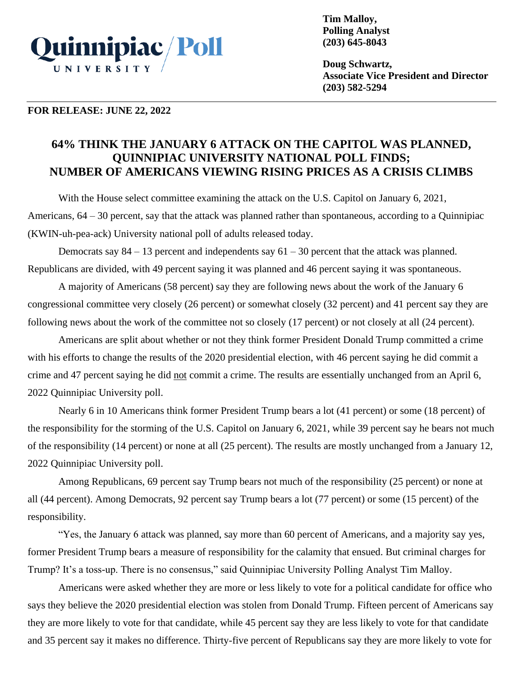

**Tim Malloy, Polling Analyst (203) 645-8043**

**Doug Schwartz, Associate Vice President and Director (203) 582-5294**

#### **FOR RELEASE: JUNE 22, 2022**

# **64% THINK THE JANUARY 6 ATTACK ON THE CAPITOL WAS PLANNED, QUINNIPIAC UNIVERSITY NATIONAL POLL FINDS; NUMBER OF AMERICANS VIEWING RISING PRICES AS A CRISIS CLIMBS**

With the House select committee examining the attack on the U.S. Capitol on January 6, 2021, Americans, 64 – 30 percent, say that the attack was planned rather than spontaneous, according to a Quinnipiac (KWIN-uh-pea-ack) University national poll of adults released today.

Democrats say  $84 - 13$  percent and independents say  $61 - 30$  percent that the attack was planned. Republicans are divided, with 49 percent saying it was planned and 46 percent saying it was spontaneous.

A majority of Americans (58 percent) say they are following news about the work of the January 6 congressional committee very closely (26 percent) or somewhat closely (32 percent) and 41 percent say they are following news about the work of the committee not so closely (17 percent) or not closely at all (24 percent).

Americans are split about whether or not they think former President Donald Trump committed a crime with his efforts to change the results of the 2020 presidential election, with 46 percent saying he did commit a crime and 47 percent saying he did not commit a crime. The results are essentially unchanged from an April 6, 2022 Quinnipiac University poll.

Nearly 6 in 10 Americans think former President Trump bears a lot (41 percent) or some (18 percent) of the responsibility for the storming of the U.S. Capitol on January 6, 2021, while 39 percent say he bears not much of the responsibility (14 percent) or none at all (25 percent). The results are mostly unchanged from a January 12, 2022 Quinnipiac University poll.

Among Republicans, 69 percent say Trump bears not much of the responsibility (25 percent) or none at all (44 percent). Among Democrats, 92 percent say Trump bears a lot (77 percent) or some (15 percent) of the responsibility.

"Yes, the January 6 attack was planned, say more than 60 percent of Americans, and a majority say yes, former President Trump bears a measure of responsibility for the calamity that ensued. But criminal charges for Trump? It's a toss-up. There is no consensus," said Quinnipiac University Polling Analyst Tim Malloy.

Americans were asked whether they are more or less likely to vote for a political candidate for office who says they believe the 2020 presidential election was stolen from Donald Trump. Fifteen percent of Americans say they are more likely to vote for that candidate, while 45 percent say they are less likely to vote for that candidate and 35 percent say it makes no difference. Thirty-five percent of Republicans say they are more likely to vote for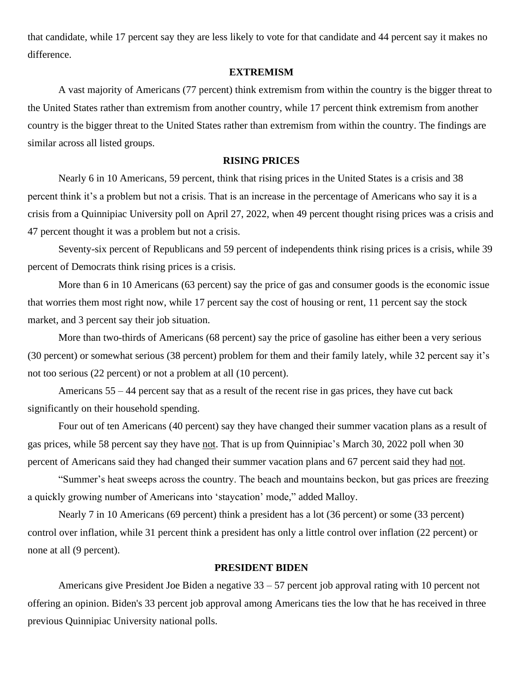that candidate, while 17 percent say they are less likely to vote for that candidate and 44 percent say it makes no difference.

## **EXTREMISM**

A vast majority of Americans (77 percent) think extremism from within the country is the bigger threat to the United States rather than extremism from another country, while 17 percent think extremism from another country is the bigger threat to the United States rather than extremism from within the country. The findings are similar across all listed groups.

## **RISING PRICES**

Nearly 6 in 10 Americans, 59 percent, think that rising prices in the United States is a crisis and 38 percent think it's a problem but not a crisis. That is an increase in the percentage of Americans who say it is a crisis from a Quinnipiac University poll on April 27, 2022, when 49 percent thought rising prices was a crisis and 47 percent thought it was a problem but not a crisis.

Seventy-six percent of Republicans and 59 percent of independents think rising prices is a crisis, while 39 percent of Democrats think rising prices is a crisis.

More than 6 in 10 Americans (63 percent) say the price of gas and consumer goods is the economic issue that worries them most right now, while 17 percent say the cost of housing or rent, 11 percent say the stock market, and 3 percent say their job situation.

More than two-thirds of Americans (68 percent) say the price of gasoline has either been a very serious (30 percent) or somewhat serious (38 percent) problem for them and their family lately, while 32 percent say it's not too serious (22 percent) or not a problem at all (10 percent).

Americans 55 – 44 percent say that as a result of the recent rise in gas prices, they have cut back significantly on their household spending.

Four out of ten Americans (40 percent) say they have changed their summer vacation plans as a result of gas prices, while 58 percent say they have not. That is up from Quinnipiac's March 30, 2022 poll when 30 percent of Americans said they had changed their summer vacation plans and 67 percent said they had not.

"Summer's heat sweeps across the country. The beach and mountains beckon, but gas prices are freezing a quickly growing number of Americans into 'staycation' mode," added Malloy.

Nearly 7 in 10 Americans (69 percent) think a president has a lot (36 percent) or some (33 percent) control over inflation, while 31 percent think a president has only a little control over inflation (22 percent) or none at all (9 percent).

#### **PRESIDENT BIDEN**

Americans give President Joe Biden a negative 33 – 57 percent job approval rating with 10 percent not offering an opinion. Biden's 33 percent job approval among Americans ties the low that he has received in three previous Quinnipiac University national polls.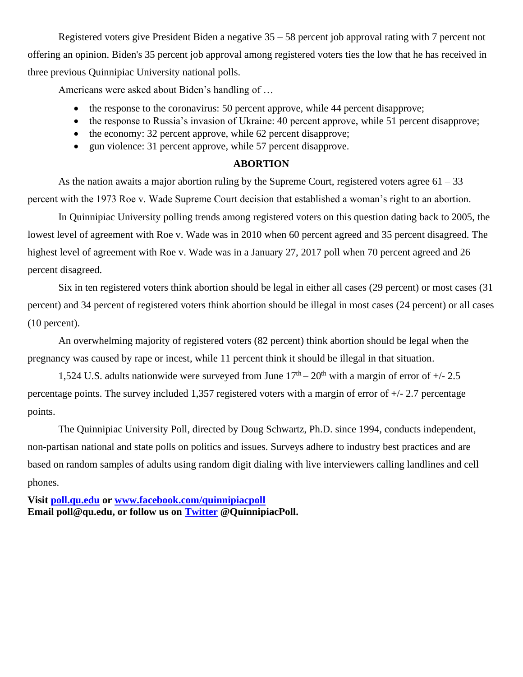Registered voters give President Biden a negative 35 – 58 percent job approval rating with 7 percent not offering an opinion. Biden's 35 percent job approval among registered voters ties the low that he has received in three previous Quinnipiac University national polls.

Americans were asked about Biden's handling of …

- the response to the coronavirus: 50 percent approve, while 44 percent disapprove;
- the response to Russia's invasion of Ukraine: 40 percent approve, while 51 percent disapprove;
- the economy: 32 percent approve, while 62 percent disapprove;
- gun violence: 31 percent approve, while 57 percent disapprove.

## **ABORTION**

As the nation awaits a major abortion ruling by the Supreme Court, registered voters agree  $61 - 33$ percent with the 1973 Roe v. Wade Supreme Court decision that established a woman's right to an abortion.

In Quinnipiac University polling trends among registered voters on this question dating back to 2005, the lowest level of agreement with Roe v. Wade was in 2010 when 60 percent agreed and 35 percent disagreed. The highest level of agreement with Roe v. Wade was in a January 27, 2017 poll when 70 percent agreed and 26 percent disagreed.

Six in ten registered voters think abortion should be legal in either all cases (29 percent) or most cases (31 percent) and 34 percent of registered voters think abortion should be illegal in most cases (24 percent) or all cases (10 percent).

An overwhelming majority of registered voters (82 percent) think abortion should be legal when the pregnancy was caused by rape or incest, while 11 percent think it should be illegal in that situation.

1,524 U.S. adults nationwide were surveyed from June  $17<sup>th</sup> - 20<sup>th</sup>$  with a margin of error of  $+/- 2.5$ percentage points. The survey included 1,357 registered voters with a margin of error of +/- 2.7 percentage points.

The Quinnipiac University Poll, directed by Doug Schwartz, Ph.D. since 1994, conducts independent, non-partisan national and state polls on politics and issues. Surveys adhere to industry best practices and are based on random samples of adults using random digit dialing with live interviewers calling landlines and cell phones.

**Visit [poll.qu.edu](https://poll.qu.edu/) or [www.facebook.com/quinnipiacpoll](http://www.facebook.com/quinnipiacpoll) Email poll@qu.edu, or follow us on [Twitter](http://twitter.com/QuinnipiacPoll) @QuinnipiacPoll.**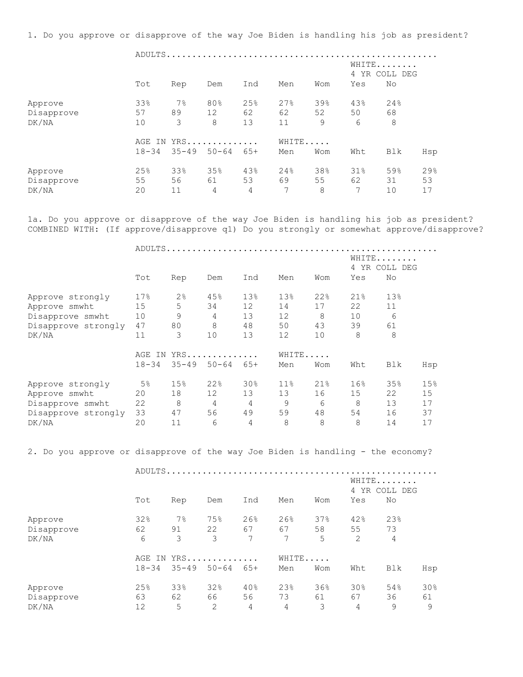1. Do you approve or disapprove of the way Joe Biden is handling his job as president?

 ADULTS..................................................... WHITE....... 4 YR COLL DEG Tot Rep Dem Ind Men Wom Yes No Approve 33% 7% 80% 25% 27% 39% 43% 24% Disapprove 57 89 12 62 62 52 50 68 DK/NA 10 3 8 13 11 9 6 8 AGE IN YRS.............. WHITE..... 18-34 35-49 50-64 65+ Men Wom Wht Blk Hsp Approve 25% 33% 35% 43% 24% 38% 31% 59% 29% Disapprove 55 56 61 53 69 55 62 31 53 DK/NA 20 11 4 4 7 8 7 10 17

1a. Do you approve or disapprove of the way Joe Biden is handling his job as president? COMBINED WITH: (If approve/disapprove q1) Do you strongly or somewhat approve/disapprove?

ADULTS.....................................................

|                     |           |                |           |       |                 |     | WHITE<br>4 | YR COLL DEG |     |
|---------------------|-----------|----------------|-----------|-------|-----------------|-----|------------|-------------|-----|
|                     | Tot       | Rep            | Dem       | Ind   | Men             | Wom | Yes        | No          |     |
| Approve strongly    | 17%       | $2\frac{6}{6}$ | 45%       | 13%   | 13%             | 22% | 21%        | 13%         |     |
| Approve smwht       | 15        | 5              | 34        | 12    | 14              | 17  | 22         | 11          |     |
| Disapprove smwht    | 10        | 9              | 4         | 13    | 12              | 8   | 10         | 6           |     |
| Disapprove strongly | 47        | 80             | 8         | 48    | 50              | 43  | 39         | 61          |     |
| DK/NA               | 11        | 3              | 10        | 13    | 12              | 10  | 8          | 8           |     |
|                     | AGE<br>IN |                | $YRS$     |       | WHITE           |     |            |             |     |
|                     | $18 - 34$ | $35 - 49$      | $50 - 64$ | $65+$ | Men             | Wom | Wht        | Blk         | Hsp |
| Approve strongly    | 5%        | 15%            | 22%       | 30%   | 11 <sup>°</sup> | 21% | 16%        | 35%         | 15% |
| Approve smwht       | 20        | 18             | 12        | 13    | 13              | 16  | 15         | 22          | 15  |
| Disapprove smwht    | 22        | 8              | 4         | 4     | 9               | 6   | 8          | 13          | 17  |
| Disapprove strongly | 33        | 47             | 56        | 49    | 59              | 48  | 54         | 16          | 37  |
| DK/NA               | 20        | 11             | 6         | 4     | 8               | 8   | 8          | 14          | 17  |

2. Do you approve or disapprove of the way Joe Biden is handling - the economy?

ADULTS.....................................................

|            |           |            |           |     |       |     | WHITE<br>4 YR COLL DEG |     |     |
|------------|-----------|------------|-----------|-----|-------|-----|------------------------|-----|-----|
|            | Tot       | Rep        | Dem       | Ind | Men   | Wom | Yes                    | No  |     |
| Approve    | 32%       | $7\%$      | 75%       | 26% | 26%   | 37% | 42%                    | 23% |     |
| Disapprove | 62        | 91         | 22        | 67  | 67    | 58  | 55                     | 73  |     |
| DK/NA      | 6         | 3          | 3         | 7   | 7     | 5   | 2                      | 4   |     |
|            |           | AGE IN YRS |           |     | WHITE |     |                        |     |     |
|            | $18 - 34$ | $35 - 49$  | $50 - 64$ | 65+ | Men   | Wom | Wht                    | Blk | Hsp |
| Approve    | 25%       | 33%        | 32%       | 40% | 23%   | 36% | 30%                    | 54% | 30% |
| Disapprove | 63        | 62         | 66        | 56  | 73    | 61  | 67                     | 36  | 61  |
| DK/NA      | 12        | 5          | 2         | 4   | 4     | 3   | 4                      | 9   | 9   |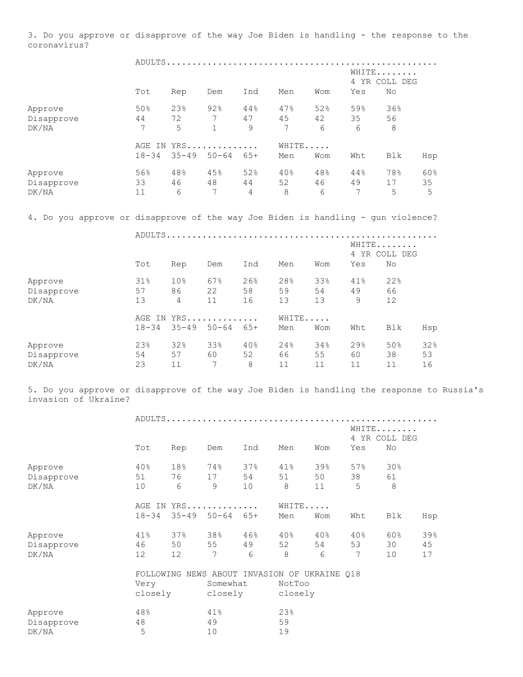3. Do you approve or disapprove of the way Joe Biden is handling - the response to the coronavirus?

|                                                                                                                   |           |                 |                            |     |        |     | WHITE               | 4 YR COLL DEG |     |
|-------------------------------------------------------------------------------------------------------------------|-----------|-----------------|----------------------------|-----|--------|-----|---------------------|---------------|-----|
|                                                                                                                   | Tot       | Rep             | Dem                        | Ind | Men    | Wom | Yes                 | No            |     |
| Approve                                                                                                           | 50%       | 23%             | 92%                        | 44% | 47%    | 52% | 59%                 | 36%           |     |
| Disapprove                                                                                                        | 44        | 72              | 7                          | 47  | 45     | 42  | 35                  | 56            |     |
| DK/NA                                                                                                             | 7         | 5               | $\mathbf 1$                | 9   | 7      | 6   | 6                   | 8             |     |
|                                                                                                                   |           | AGE IN YRS      |                            |     | WHITE  |     |                     |               |     |
|                                                                                                                   | $18 - 34$ |                 | $35 - 49$ $50 - 64$ $65 +$ |     | Men    | Wom | Wht                 | Blk           | Hsp |
| Approve                                                                                                           | 56%       | 48%             | 45%                        | 52% | $40\%$ | 48% | $44\,$ $^{\circ}\,$ | 78%           | 60% |
| Disapprove                                                                                                        | 33        | 46              | 48                         | 44  | 52     | 46  | 49                  | 17            | 35  |
| DK/NA                                                                                                             | 11        | 6               | 7                          | 4   | 8      | 6   | 7                   | 5             | 5   |
| 4. Do you approve or disapprove of the way Joe Biden is handling - gun violence?                                  |           |                 |                            |     |        |     |                     |               |     |
|                                                                                                                   |           |                 |                            |     |        |     |                     |               |     |
|                                                                                                                   |           |                 |                            |     |        |     |                     | WHITE         |     |
|                                                                                                                   |           |                 |                            |     |        |     |                     | 4 YR COLL DEG |     |
|                                                                                                                   | Tot       | Rep             | Dem                        | Ind | Men    | Wom | Yes                 | No            |     |
| Approve                                                                                                           | 31%       | 10 <sup>°</sup> | 67%                        | 26% | 28%    | 33% | $41\%$              | 22%           |     |
| Disapprove                                                                                                        | 57        | 86              | 22                         | 58  | 59     | 54  | 49                  | 66            |     |
| DK/NA                                                                                                             | 13        | $4\overline{ }$ | 11                         | 16  | 13     | 13  | 9                   | 12            |     |
|                                                                                                                   |           | AGE IN YRS      |                            |     | WHITE  |     |                     |               |     |
|                                                                                                                   | $18 - 34$ |                 | $35 - 49$ $50 - 64$ $65 +$ |     | Men    | Wom | Wht                 | Blk           | Hsp |
| Approve                                                                                                           | 23%       | 32%             | 33%                        | 40% | 24%    | 34% | 29%                 | 50%           | 32% |
| Disapprove                                                                                                        | 54        | 57              | 60                         | 52  | 66     | 55  | 60                  | 38            | 53  |
| DK/NA                                                                                                             | 23        | 11              | 7                          | 8   | 11     | 11  | 11                  | 11            | 16  |
| 5. Do you approve or disapprove of the way Joe Biden is handling the response to Russia's<br>invasion of Ukraine? |           |                 |                            |     |        |     |                     |               |     |
|                                                                                                                   |           |                 |                            |     |        |     |                     |               |     |
|                                                                                                                   |           |                 |                            |     |        |     | WHITE               |               |     |
|                                                                                                                   |           |                 |                            |     |        |     |                     | 4 YR COLL DEG |     |
|                                                                                                                   | Tot       | Rep             | Dem                        | Ind | Men    | Wom | Yes                 | No            |     |
| Approve                                                                                                           | 40%       | 18%             | 74%                        | 37% | 41%    | 39% | 57%                 | 30%           |     |
| Disapprove                                                                                                        | 51        | 76              | 17                         | 54  | 51     | 50  | 38                  | 61            |     |
| DK/NA                                                                                                             | 10        | 6               | 9                          | 10  | 8      | 11  | 5                   | 8             |     |
|                                                                                                                   |           | AGE IN YRS      |                            |     | WHITE  |     |                     |               |     |

|            | 77011 777 |     |                               |           |     |        |     |     |     |  |  |
|------------|-----------|-----|-------------------------------|-----------|-----|--------|-----|-----|-----|--|--|
|            |           |     | $18-34$ $35-49$ $50-64$ $65+$ |           | Men | Wom    | Wht | Blk | Hsp |  |  |
| Approve    | 41%       | 37% | 38%                           | 46%       | 40% | $40\%$ | 40% | 60% | 39% |  |  |
| Disapprove | 46        | 50  | 55                            | 49        | 52  | 54     | 53  | 30  | 45  |  |  |
| DK/NA      | 1 2       |     | 7                             | <u>ნ </u> | 8   | რ —    |     | 1 N |     |  |  |

|            |         | FOLLOWING NEWS ABOUT INVASION OF UKRAINE 018 |         |  |  |  |  |
|------------|---------|----------------------------------------------|---------|--|--|--|--|
|            | Very    | Somewhat                                     | NotToo  |  |  |  |  |
|            | closely | closely                                      | closely |  |  |  |  |
| Approve    | 48%     | 41%                                          | 23%     |  |  |  |  |
| Disapprove | 48      | 49                                           | 59      |  |  |  |  |
| DK/NA      | 5       | 1 ∩                                          | 1 Q     |  |  |  |  |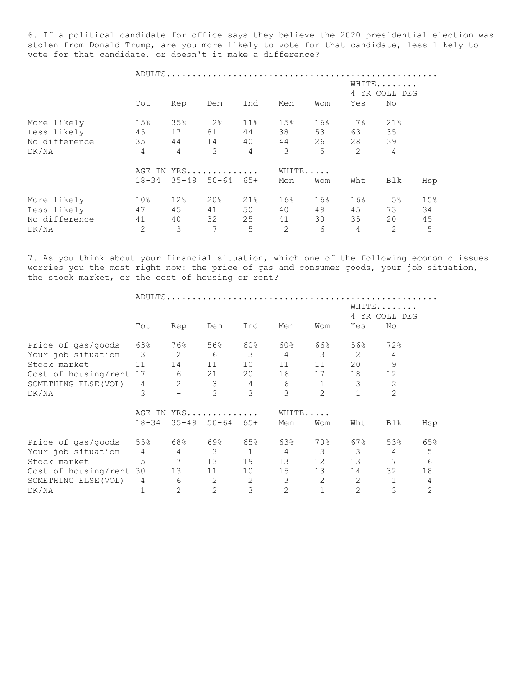6. If a political candidate for office says they believe the 2020 presidential election was stolen from Donald Trump, are you more likely to vote for that candidate, less likely to vote for that candidate, or doesn't it make a difference?

|               |                 |                 |     |                |                |       | WHITE<br>4 YR COLL DEG |     |     |  |
|---------------|-----------------|-----------------|-----|----------------|----------------|-------|------------------------|-----|-----|--|
|               | Tot             | Rep             | Dem | Ind            | Men            | Wom   | Yes                    | No  |     |  |
| More likely   | 15%             | 35%             | 2%  | $11\%$         | 15%            | 16%   | $7\%$                  | 21% |     |  |
| Less likely   | 45              | 17              | 81  | 44             | 38             | 53    | 63                     | 35  |     |  |
| No difference | 35              | 44              | 14  | 40             | 44             | 26    | 28                     | 39  |     |  |
| DK/NA         | 4               | $\overline{4}$  | 3   | $\overline{4}$ | 3              | 5     | 2                      | 4   |     |  |
|               | AGE IN YRS      |                 |     |                |                | WHITE |                        |     |     |  |
|               | $18 - 34$       | $35 - 49$ 50-64 |     | 65+            | Men            | Wom   | Wht                    | Blk | Hsp |  |
| More likely   | 10 <sup>°</sup> | 12%             | 20% | 21%            | 16%            | 16%   | 16%                    | 5%  | 15% |  |
| Less likely   | 47              | 45              | 41  | 50             | 40             | 49    | 45                     | 73  | 34  |  |
| No difference | 41              | 40              | 32  | 25             | 41             | 30    | 35                     | 20  | 45  |  |
| DK/NA         | $\overline{2}$  | 3               | 7   | 5              | $\overline{2}$ | 6     | 4                      | 2   | 5   |  |

7. As you think about your financial situation, which one of the following economic issues worries you the most right now: the price of gas and consumer goods, your job situation, the stock market, or the cost of housing or rent?

|                         |                |                | ADULTS         |       |                |                |                |                      |     |
|-------------------------|----------------|----------------|----------------|-------|----------------|----------------|----------------|----------------------|-----|
|                         |                |                |                |       |                |                | 4 YR           | WHITE<br>DEG<br>COLL |     |
|                         | Tot            | Rep            | Dem            | Ind   | Men            | Wom            | Yes            | No                   |     |
| Price of gas/goods      | 63%            | 76%            | 56%            | 60%   | 60%            | 66%            | 56%            | 72%                  |     |
| Your job situation      | $\overline{3}$ | 2              | 6              | 3     | $\overline{4}$ | 3              | $\overline{2}$ | 4                    |     |
| Stock market            | 11             | 14             | 11             | 10    | 11             | 11             | 20             | 9                    |     |
| Cost of housing/rent    | 17             | 6              | 21             | 20    | 16             | 17             | 18             | 12                   |     |
| SOMETHING ELSE (VOL)    | 4              | $\overline{2}$ | 3              | 4     | 6              |                | 3              | 2                    |     |
| DK/NA                   | 3              |                | 3              | 3     | 3              | $\overline{2}$ |                | $\overline{2}$       |     |
|                         | AGE<br>IN      |                | $YRS$          |       | WHITE          |                |                |                      |     |
|                         | $18 - 34$      | $35 - 49$      | $50 - 64$      | $65+$ | Men            | Wom            | Wht            | Blk                  | Hsp |
| Price of gas/goods      | 55%            | 68%            | 69%            | 65%   | 63%            | 70%            | 67%            | 53%                  | 65% |
| Your job situation      | $\overline{4}$ | 4              | 3              | 1     | 4              | 3              | 3              | 4                    | 5   |
| Stock market            | 5              | 7              | 13             | 19    | 13             | 12             | 13             |                      | 6   |
| Cost of housing/rent 30 |                | 13             | 11             | 10    | 15             | 13             | 14             | 32                   | 18  |
| SOMETHING ELSE (VOL)    | 4              | 6              | 2              | 2     | 3              | 2              | 2              |                      | 4   |
| DK/NA                   |                | 2              | $\overline{2}$ | 3     | $\overline{2}$ | $\mathbf 1$    | $\overline{2}$ | 3                    | 2   |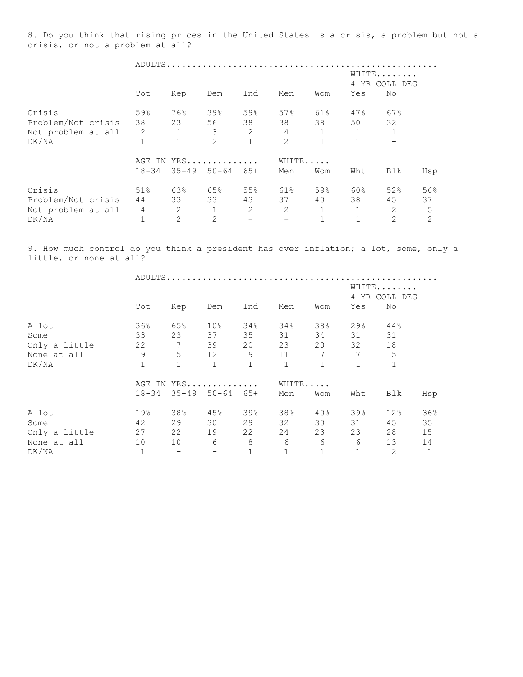8. Do you think that rising prices in the United States is a crisis, a problem but not a crisis, or not a problem at all?

|                    |                |              | ADULTS              |     |                |              |                        |     |     |
|--------------------|----------------|--------------|---------------------|-----|----------------|--------------|------------------------|-----|-----|
|                    |                |              |                     |     |                |              | WHITE<br>4 YR COLL DEG |     |     |
|                    | Tot            | Rep          | Dem                 | Ind | Men            | Wom          | Yes                    | No  |     |
| Crisis             | 59%            | 76%          | 39%                 | 59% | 57%            | 61%          | 47%                    | 67% |     |
| Problem/Not crisis | 38             | 23           | 56                  | 38  | 38             | 38           | 50                     | 32  |     |
| Not problem at all | 2              | $\mathbf{1}$ | 3                   | 2   | $\overline{4}$ | $\mathbf{1}$ | $\mathbf 1$            |     |     |
| DK/NA              |                | $\mathbf{1}$ | 2                   |     | $\overline{c}$ | $\mathbf{1}$ | $\mathbf 1$            |     |     |
|                    | AGE<br>IN      |              | $YRS$               |     |                | WHITE        |                        |     |     |
|                    | $18 - 34$      |              | $35 - 49$ $50 - 64$ | 65+ | Men            | Wom          | Wht                    | Blk | Hsp |
| Crisis             | 51%            | 63%          | 65%                 | 55% | 61%            | 59%          | 60%                    | 52% | 56% |
| Problem/Not crisis | 44             | 33           | 33                  | 43  | 37             | 40           | 38                     | 45  | 37  |
| Not problem at all | $\overline{4}$ | 2            | 1                   | 2   | $\overline{2}$ | $\mathbf{1}$ | $\mathbf{1}$           | 2   | 5   |
| DK/NA              |                | 2            | $\overline{2}$      |     |                |              | $\mathbf 1$            | 2   | 2   |

9. How much control do you think a president has over inflation; a lot, some, only a little, or none at all?

|               |              |                 |                     |              |              |                 |                 | WHITE<br>4 YR COLL DEG |     |
|---------------|--------------|-----------------|---------------------|--------------|--------------|-----------------|-----------------|------------------------|-----|
|               | Tot          | Rep             | Dem                 | Ind          | Men          | Wom             | Yes             | No                     |     |
| A lot         | 36%          | 65%             | $10\%$              | 34%          | 34%          | 38%             | 29%             | 44%                    |     |
| Some          | 33           | 23              | 37                  | 35           | 31           | 34              | 31              | 31                     |     |
| Only a little | 22           | $7\phantom{.0}$ | 39                  | 20           | 23           | 20              | 32              | 18                     |     |
| None at all   | 9            | $5^{\circ}$     | 12                  | 9            | 11           | $7\phantom{.0}$ | $7\phantom{.0}$ | 5                      |     |
| DK/NA         | $\mathbf{1}$ | $\mathbf{1}$    | $\mathbf{1}$        | $\mathbf{1}$ | $\mathbf{1}$ | $\mathbf{1}$    | $\mathbf{1}$    | 1                      |     |
|               |              | AGE IN YRS      |                     |              |              |                 | WHITE           |                        |     |
|               | $18 - 34$    |                 | $35 - 49$ 50-64 65+ |              | Men          | Wom             | Wht             | Blk                    | Hsp |
| A lot         | 19%          | 38%             | 45%                 | 39%          | 38%          | 40%             | 39%             | 12%                    | 36% |
| Some          | 42           | 29              | 30                  | 29           | 32           | 30              | 31              | 45                     | 35  |
| Only a little | 27           | 22              | 19                  | 22           | 24           | 23              | 23              | 28                     | 15  |
| None at all   | 10           | 10              | 6                   | 8            | 6            | 6               | 6               | 13                     | 14  |
| DK/NA         | $1\,$        | $-$             |                     | $\mathbf 1$  |              | $\mathbf{1}$    |                 | 2                      |     |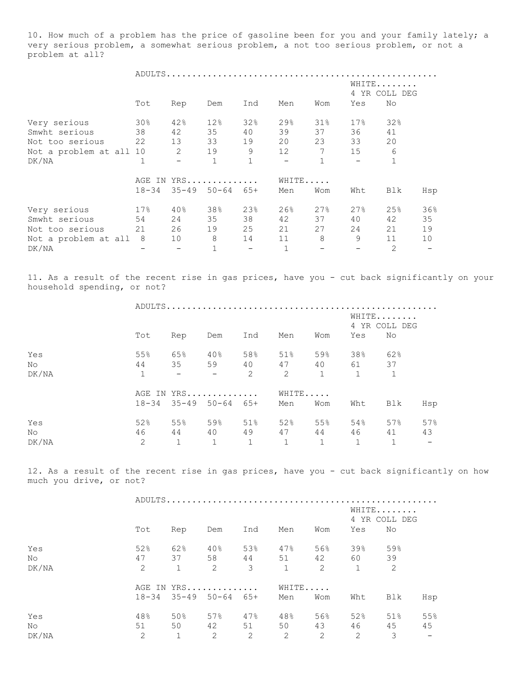10. How much of a problem has the price of gasoline been for you and your family lately; a very serious problem, a somewhat serious problem, a not too serious problem, or not a problem at all?

|                         |           |     | ADULTS                     |              |                          |     |                        |     |     |
|-------------------------|-----------|-----|----------------------------|--------------|--------------------------|-----|------------------------|-----|-----|
|                         |           |     |                            |              |                          |     | WHITE<br>4 YR COLL DEG |     |     |
|                         | Tot       | Rep | Dem                        | Ind          | Men                      | Wom | Yes                    | No  |     |
| Very serious            | 30%       | 42% | 12%                        | 32%          | 29%                      | 31% | 17.8                   | 32% |     |
| Smwht serious           | 38        | 42  | 35                         | 40           | 39                       | 37  | 36                     | 41  |     |
| Not too serious         | 22        | 13  | 33                         | 19           | 20                       | 23  | 33                     | 20  |     |
| Not a problem at all 10 |           | 2   | 19                         | 9            | 12                       | 7   | 15                     | 6   |     |
| DK/NA                   | 1         |     | $\mathbf 1$                | $\mathbf{1}$ | $\overline{\phantom{a}}$ |     | $\equiv$               |     |     |
|                         | AGE<br>IN |     | $YRS$                      | WHITE        |                          |     |                        |     |     |
|                         | $18 - 34$ |     | $35 - 49$ $50 - 64$ $65 +$ |              | Men                      | Wom | Wht                    | Blk | Hsp |
| Very serious            | 17%       | 40% | 38%                        | 23%          | 26%                      | 27% | 27%                    | 25% | 36% |
| Smwht serious           | 54        | 24  | 35                         | 38           | 42                       | 37  | 40                     | 42  | 35  |
| Not too serious         | 21        | 26  | 19                         | 25           | 21                       | 27  | 24                     | 21  | 19  |
| Not a problem at all    | - 8       | 10  | 8                          | 14           | 11                       | 8   | 9                      | 11  | 10  |
| DK/NA                   |           |     | $\mathbf 1$                |              | $\mathbf{1}$             |     |                        | 2   |     |

11. As a result of the recent rise in gas prices, have you - cut back significantly on your household spending, or not?

|       |              |                          |                               |              |       |     |                | WHITE<br>4 YR COLL DEG |     |
|-------|--------------|--------------------------|-------------------------------|--------------|-------|-----|----------------|------------------------|-----|
|       | Tot          | Rep                      | Dem                           | Ind          | Men   | Wom | Yes            | No                     |     |
| Yes   | 55%          | 65%                      | $40\%$                        | 58%          | 51%   | 59% | 38%            | 62%                    |     |
| No    | 44           |                          | 35 59                         |              | 40 47 |     | 40 61          | 37                     |     |
| DK/NA | $\mathbf{1}$ | <b>Contract Contract</b> | $\sim$ $ -$                   | 2            | 2     | 1   | $\mathbf 1$    | $\overline{1}$         |     |
|       |              |                          | AGE IN YRS                    |              | WHITE |     |                |                        |     |
|       |              |                          | $18-34$ $35-49$ $50-64$ $65+$ |              | Men   | Wom | Wht            | Blk                    | Hsp |
| Yes   | 52%          | 55%                      | 59%                           | 51%          | 52%   | 55% | 54%            | 57%                    | 57% |
| No    | 46           | 44                       | 40                            | 49           | 47    | 44  | 46             | 41                     | 43  |
| DK/NA | 2            | $\mathbf{1}$             | 1                             | $\mathbf{1}$ | 1     | 1   | $\overline{1}$ | $\mathbf{1}$           | $-$ |

12. As a result of the recent rise in gas prices, have you - cut back significantly on how much you drive, or not?

|       |     |              |                               |     |     |       |              | WHITE<br>4 YR COLL DEG |     |
|-------|-----|--------------|-------------------------------|-----|-----|-------|--------------|------------------------|-----|
|       | Tot | Rep          | Dem                           | Ind | Men | Wom   | Yes          | No                     |     |
| Yes   | 52% | 62%          | 40%                           | 53% | 47% | 56%   | 39%          | 59%                    |     |
| No    | 47  | 37           | 58                            | 44  | 51  | 42    | 60 — 10      | 39                     |     |
| DK/NA | 2   | $\mathbf{1}$ | 2                             | 3   | 1   | 2     | $\mathbf{1}$ | 2                      |     |
|       |     |              | AGE IN YRS                    |     |     | WHITE |              |                        |     |
|       |     |              | $18-34$ $35-49$ $50-64$ $65+$ |     | Men | Wom   | Wht          | Blk                    | Hsp |
| Yes   | 48% | 50%          | 57%                           | 47% | 48% | 56%   | 52%          | 51%                    | 55% |
| No    | 51  | 50           | 42 — 12                       | 51  | 50  | 43    | 46           | 45                     | 45  |
| DK/NA | 2   | $\mathbf{1}$ | 2                             | 2   | 2   | 2     | 2            | 3                      |     |
|       |     |              |                               |     |     |       |              |                        |     |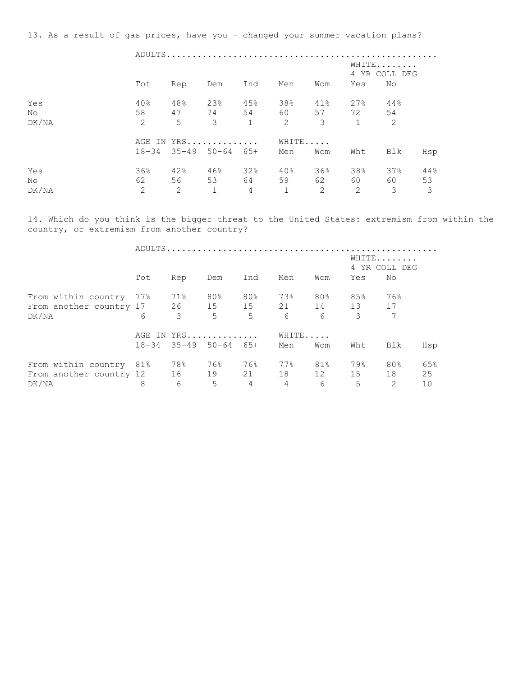13. As a result of gas prices, have you - changed your summer vacation plans?

|                     |                             |                                             |                                 | WHITE<br>4 YR COLL DEG |                               |                             |                                  |                  |                                      |  |
|---------------------|-----------------------------|---------------------------------------------|---------------------------------|------------------------|-------------------------------|-----------------------------|----------------------------------|------------------|--------------------------------------|--|
|                     | Tot                         | Rep                                         | Dem                             | Ind                    | Men                           | Wom                         | Yes                              | No               |                                      |  |
| Yes<br>No.<br>DK/NA | 40%<br>58<br>2              | 48%<br>5                                    | 23%<br>$\mathcal{S}$            | 45%<br>$\mathbf{1}$    | 38%<br>47 74 54 60 57 72<br>2 | 41%<br>3                    | 27%<br>$\mathbf{1}$              | 44%<br>54<br>2   |                                      |  |
|                     |                             | AGE IN YRS<br>$18-34$ $35-49$ $50-64$ $65+$ |                                 |                        | WHITE<br>Men                  | Wom                         | Wht                              | Blk              | Hsp                                  |  |
| Yes<br>No.<br>DK/NA | 36%<br>62<br>$\overline{2}$ | 42%<br>2                                    | 46%<br>56 53 64<br>$\mathbf{1}$ | 32%<br>$\overline{4}$  | 40%<br>59<br>$\mathbf{1}$     | 36%<br>62<br>$\overline{2}$ | 38%<br>60 — 10<br>$\overline{2}$ | 37%<br>60 —<br>3 | 44%<br>53<br>$\overline{\mathbf{3}}$ |  |

14. Which do you think is the bigger threat to the United States: extremism from within the country, or extremism from another country?

|                                  |     |                               |        |                |                 |     |          | WHITE<br>4 YR COLL DEG |     |
|----------------------------------|-----|-------------------------------|--------|----------------|-----------------|-----|----------|------------------------|-----|
|                                  | Tot | Rep                           | Dem    | Ind            | Men             | Wom | Yes      | No                     |     |
| From within country 77%          |     | 71%                           | $80\%$ | 80%            | 73%             | 80% | 85%      | 76%                    |     |
|                                  |     |                               |        |                |                 |     |          |                        |     |
| DK/NA                            | 6   | $\overline{\mathbf{3}}$       | 5      | 5 <sup>1</sup> | $6\overline{6}$ | 6   | 3        | $7\phantom{.0}$        |     |
|                                  |     | AGE IN YRS                    |        |                | WHITE           |     |          |                        |     |
|                                  |     | $18-34$ $35-49$ $50-64$ $65+$ |        |                | Men             | Wom | Wht      | Blk                    | Hsp |
| From within country 81%          |     | 78%                           | 76%    | 76%            | 77%             | 81% | 79%      | 80%                    | 65% |
| From another country 12 16 19 21 |     |                               |        |                | 18              |     | 12 15 18 |                        | 25  |
| DK/NA                            | 8   | 6                             | 5      | 4              | $\overline{4}$  | 6   | 5        | $\mathcal{L}$          | 10  |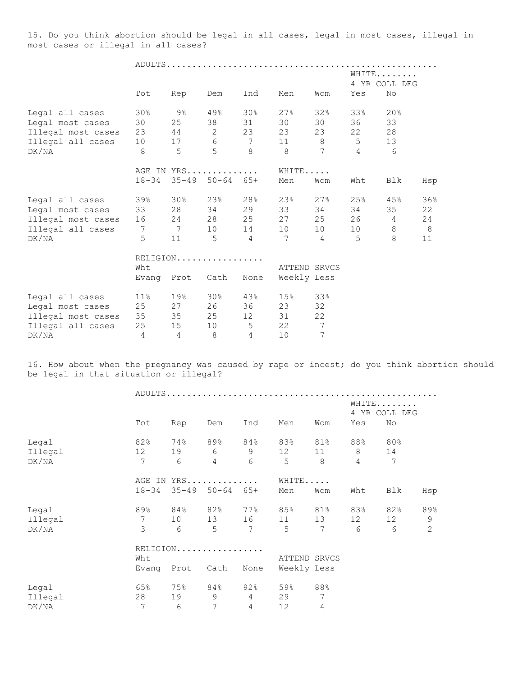15. Do you think abortion should be legal in all cases, legal in most cases, illegal in most cases or illegal in all cases?

 ADULTS..................................................... WHITE....... 4 YR COLL DEG Tot Rep Dem Ind Men Wom Yes No Legal all cases 30% 9% 49% 30% 27% 32% 33% 20% Legal most cases 30 25 38 31 30 30 36 33 Illegal most cases 23 44 2 23 23 23 22 28 Illegal all cases 10 17 6 7 11 8 5 13 DK/NA 8 5 5 8 8 7 4 6 AGE IN YRS.............. WHITE.....

Legal all cases 39% 30% 23% 28% 23% 27% 25% 45% 36%

18-34 35-49 50-64 65+ Men Wom Wht Blk Hsp

| Legal most cases   | 33              | 28   | 34       | 29             | 33           | 34  | 34 | 35 | 22 |
|--------------------|-----------------|------|----------|----------------|--------------|-----|----|----|----|
| Illegal most cases | 16 24           |      | 28       | 25             | 27           | 25  | 26 | 4  | 24 |
| Illegal all cases  | 7               | 7    | 10       | 14             | 10           | 10  | 10 | 8  | 8  |
| DK/NA              | 5               | 11   | 5        | $\overline{4}$ | 7            | 4   | 5  | 8  | 11 |
|                    |                 |      | RELIGION |                |              |     |    |    |    |
|                    | Wht             |      |          |                | ATTEND SRVCS |     |    |    |    |
|                    | Evang           | Prot | Cath     | None           | Weekly Less  |     |    |    |    |
| Legal all cases    | 11 <sup>°</sup> | 19%  | 30%      | 43%            | 15%          | 33% |    |    |    |
| Legal most cases   | 25              | 27   | 26       | 36             | 23           | 32  |    |    |    |
| Illegal most cases | 35              | 35   | 25       | 12             | 31           | 22  |    |    |    |
| Illegal all cases  | 25              | 15   | 10       | 5              | 22           | 7   |    |    |    |
| DK/NA              | 4               | 4    | 8        | 4              | 10           | 7   |    |    |    |

16. How about when the pregnancy was caused by rape or incest; do you think abortion should be legal in that situation or illegal?

|         |                 | Ind<br>Tot<br>Rep<br>Dem<br>Men<br>Wom |                |                 |             |                 |                   |     | WHITE<br>4 YR COLL DEG |
|---------|-----------------|----------------------------------------|----------------|-----------------|-------------|-----------------|-------------------|-----|------------------------|
|         |                 |                                        |                |                 |             |                 | Yes               | No  |                        |
| Legal   | 82%             | 74%                                    | 89%            | 84%             | 83%         | 81%             | 88%               | 80% |                        |
| Illegal | 12 <sup>°</sup> | 19                                     | 6              | 9               | 12          | 11              | 8                 | 14  |                        |
| DK/NA   | 7               | 6                                      | $\overline{4}$ | 6               | 5           | 8               | $\overline{4}$    | 7   |                        |
|         |                 |                                        | AGE IN YRS     |                 | WHITE       |                 |                   |     |                        |
|         | $18 - 34$       | $35 - 49$                              | $50 - 64$      | $65+$           | Men         | Wom             | Wht               | Blk | Hsp                    |
| Legal   | 89%             | 84%                                    | 82%            | 77%             | 85%         | 81%             | 83%               | 82% | 89%                    |
| Illegal | $7\phantom{.0}$ | 10                                     | 13             | 16              | 11          | 13              | $12 \overline{ }$ | 12  | 9                      |
| DK/NA   | 3               | 6                                      | 5              | $7\phantom{.0}$ | $5^{\circ}$ | $7\phantom{.0}$ | 6                 | 6   | 2                      |
|         |                 |                                        | RELIGION       |                 |             |                 |                   |     |                        |
|         | Wht             |                                        |                |                 |             | ATTEND SRVCS    |                   |     |                        |
|         | Evang           | Prot                                   | Cath           | None            |             | Weekly Less     |                   |     |                        |
| Legal   | 65%             | 75%                                    | 84%            | 92%             | 59%         | 88%             |                   |     |                        |
| Illegal | 28              | 19                                     | 9              | 4               | 29          | 7               |                   |     |                        |
| DK/NA   | 7               | 6                                      | 7              | 4               | 12          | 4               |                   |     |                        |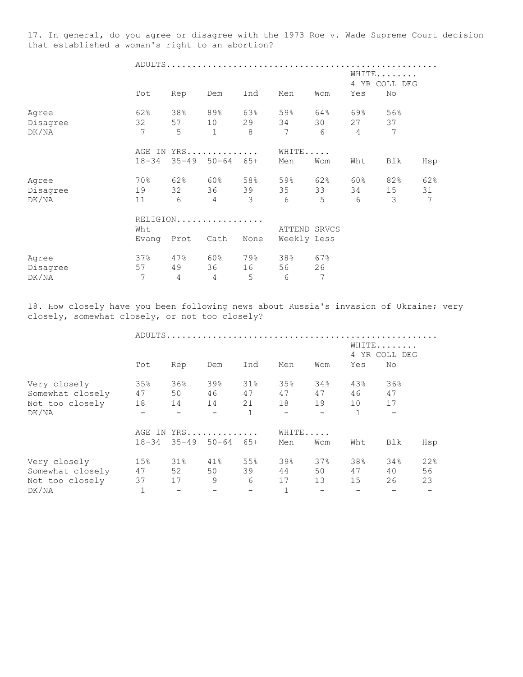17. In general, do you agree or disagree with the 1973 Roe v. Wade Supreme Court decision that established a woman's right to an abortion?

|          |           | ADULTS    |                |       |       |                 |                |                        |     |  |  |
|----------|-----------|-----------|----------------|-------|-------|-----------------|----------------|------------------------|-----|--|--|
|          |           |           |                |       |       |                 |                | WHITE<br>4 YR COLL DEG |     |  |  |
|          | Tot       | Rep       | Dem            | Ind   | Men   | Wom             | Yes            | No                     |     |  |  |
| Agree    | 62%       | 38%       | 89%            | 63%   | 59%   | 64%             | 69%            | 56%                    |     |  |  |
| Disagree | 32        | 57        | 10             | 29    | 34    | 30              | 27             | 37                     |     |  |  |
| DK/NA    | 7         | 5         | $\mathbf{1}$   | 8     | 7     | $6\phantom{1}6$ | $\overline{4}$ | 7                      |     |  |  |
|          | AGE IN    |           | YRS            |       | WHITE |                 |                |                        |     |  |  |
|          | $18 - 34$ | $35 - 49$ | $50 - 64$      | $65+$ | Men   | Wom             | Wht            | Blk                    | Hsp |  |  |
| Agree    | 70%       | 62%       | 60%            | 58%   | 59%   | 62%             | 60%            | 82%                    | 62% |  |  |
| Disagree | 19        | 32        | 36             | 39    | 35    | 33              | 34             | 15                     | 31  |  |  |
| DK/NA    | 11        | 6         | $\overline{4}$ | 3     | 6     | 5               | 6              | 3                      | 7   |  |  |
|          |           | RELIGION  |                |       |       |                 |                |                        |     |  |  |
|          | Wht       |           |                |       |       | SRVCS<br>ATTEND |                |                        |     |  |  |

|     |          |          |             | Weekly Less |                      |
|-----|----------|----------|-------------|-------------|----------------------|
| 37% | 47%      | 60%      | 79%         | 38%         | 67%                  |
| 57  | 49       | 36       | 16          | 56          | 26                   |
|     | $\Delta$ | $\Delta$ | $5^{\circ}$ | h           |                      |
|     |          |          |             |             | Evang Prot Cath None |

18. How closely have you been following news about Russia's invasion of Ukraine; very closely, somewhat closely, or not too closely?

|                  |           |                          | ADULTS              |                          |     |                          |              |     |     |
|------------------|-----------|--------------------------|---------------------|--------------------------|-----|--------------------------|--------------|-----|-----|
|                  |           |                          |                     | WHITE<br>4 YR COLL DEG   |     |                          |              |     |     |
|                  | Tot       | Rep                      | Dem                 | Ind                      | Men | Wom                      | Yes          | No  |     |
| Very closely     | 35%       | 36%                      | 39%                 | 31%                      | 35% | 34%                      | 43%          | 36% |     |
| Somewhat closely | 47        | 50                       | 46                  | 47                       | 47  | 47                       | 46           | 47  |     |
| Not too closely  | 18        | 14                       | 14                  | 21                       | 18  | 19                       | 10           | 17  |     |
| DK/NA            |           |                          |                     | $\mathbf 1$              |     |                          | $\mathbf{1}$ |     |     |
|                  |           |                          | AGE IN YRS          |                          |     | WHITE                    |              |     |     |
|                  | $18 - 34$ |                          | $35 - 49$ $50 - 64$ | 65+                      | Men | Wom                      | Wht          | Blk | Hsp |
| Very closely     | 15%       | $31\%$                   | 41%                 | 55%                      | 39% | 37%                      | 38%          | 34% | 22% |
| Somewhat closely | 47        | 52                       | 50                  | 39                       | 44  | 50                       | 47           | 40  | 56  |
| Not too closely  | 37        | 17                       | 9                   | 6                        | 17  | 13                       | 15           | 26  | 23  |
| DK/NA            |           | $\overline{\phantom{m}}$ |                     | $\overline{\phantom{m}}$ |     | $\overline{\phantom{m}}$ |              |     |     |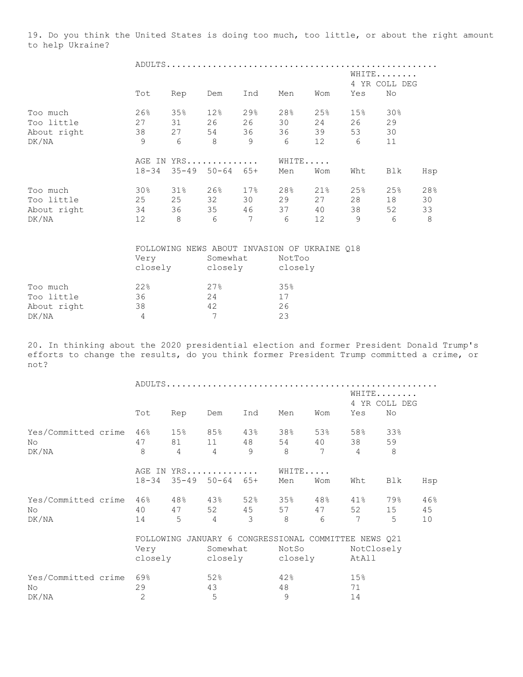19. Do you think the United States is doing too much, too little, or about the right amount to help Ukraine?

|             |           |           | ADULTS     |       |     |       |     |                        |     |  |  |
|-------------|-----------|-----------|------------|-------|-----|-------|-----|------------------------|-----|--|--|
|             |           |           |            |       |     |       |     | WHITE<br>4 YR COLL DEG |     |  |  |
|             | Tot       | Rep       | Dem        | Ind   | Men | Wom   | Yes | No                     |     |  |  |
| Too much    | 26%       | 35%       | 12%        | 29%   | 28% | 25%   | 15% | 30%                    |     |  |  |
| Too little  | 27        | 31        | 26         | 26    | 30  | 24    | 26  | 29                     |     |  |  |
| About right | 38        | 27        | 54         | 36    | 36  | 39    | 53  | 30                     |     |  |  |
| DK/NA       | 9         | 6         | 8          | 9     | 6   | 12    | 6   | 11                     |     |  |  |
|             |           |           | AGE IN YRS |       |     | WHITE |     |                        |     |  |  |
|             | $18 - 34$ | $35 - 49$ | $50 - 64$  | $65+$ | Men | Wom   | Wht | Blk                    | Hsp |  |  |
| Too much    | 30%       | $31\%$    | 26%        | 17%   | 28% | 21%   | 25% | 25%                    | 28% |  |  |
| Too little  | 25        | 25        | 32         | 30    | 29  | 27    | 28  | 18                     | 30  |  |  |
| About right | 34        | 36        | 35         | 46    | 37  | 40    | 38  | 52                     | 33  |  |  |
| DK/NA       | 12        | 8         | 6          | 7     | 6   | 12    | 9   | 6                      | 8   |  |  |

|             |         |          | FOLLOWING NEWS ABOUT INVASION OF UKRAINE 018 |
|-------------|---------|----------|----------------------------------------------|
|             | Very    | Somewhat | NotToo                                       |
|             | closely | closely  | closely                                      |
|             |         |          |                                              |
| Too much    | 22%     | 27%      | 35%                                          |
| Too little  | 36      | 24       | 17                                           |
| About right | 38      | 42       | 26                                           |
| DK/NA       |         |          | 23                                           |

20. In thinking about the 2020 presidential election and former President Donald Trump's efforts to change the results, do you think former President Trump committed a crime, or not?

|                     |                |                |                            |     |                                            |     |                | WHITE<br>4 YR COLL DEG |     |  |
|---------------------|----------------|----------------|----------------------------|-----|--------------------------------------------|-----|----------------|------------------------|-----|--|
|                     | Tot            | Rep            | Dem                        | Ind | Men                                        | Wom | Yes            | No                     |     |  |
| Yes/Committed crime | 46%            | 15%            | 85%                        | 43% | 38%                                        | 53% | 58%            | 33%                    |     |  |
| No                  | 47             | 81 — 10        | 11                         | 48  | 54                                         | 40  | 38             | 59                     |     |  |
| DK/NA               | 8              | $\overline{4}$ | $\overline{4}$             | 9   | $\mathcal{B}$                              | 7   | $\overline{4}$ | 8                      |     |  |
|                     | AGE IN         |                | YRS                        |     | WHITE                                      |     |                |                        |     |  |
|                     | $18 - 34$      |                | $35 - 49$ $50 - 64$ $65 +$ |     | Men                                        | Wom | Wht            | Blk                    | Hsp |  |
| Yes/Committed crime | 46%            | 48%            | 43%                        | 52% | 35%                                        | 48% | 41%            | 79%                    | 46% |  |
| No                  | 40             | 47             | 52 45                      |     | 57                                         | 47  | 52             | 15                     | 45  |  |
| DK/NA               | 14             | 5              | $\overline{4}$             | 3   | 8                                          | 6   | 7              | 5                      | 10  |  |
|                     | FOLLOWING      |                |                            |     | JANUARY 6 CONGRESSIONAL COMMITTEE NEWS Q21 |     |                |                        |     |  |
|                     | Very           |                | Somewhat                   |     | NotSo                                      |     |                | NotClosely             |     |  |
|                     | closely        |                |                            |     | closely closely                            |     |                | AtAll                  |     |  |
| Yes/Committed crime | 69%            |                | 52%                        |     | 42%                                        |     | 15%            |                        |     |  |
| No                  | 29             |                | 43                         |     | 48                                         |     | 71             |                        |     |  |
| DK/NA               | $\overline{c}$ |                | 5                          |     | 9                                          |     | 14             |                        |     |  |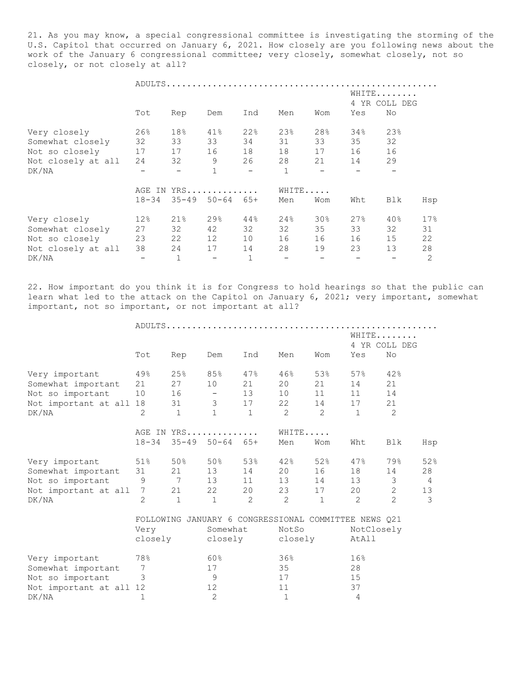21. As you may know, a special congressional committee is investigating the storming of the U.S. Capitol that occurred on January 6, 2021. How closely are you following news about the work of the January 6 congressional committee; very closely, somewhat closely, not so closely, or not closely at all?

|                    |           |                     |                            |     |              |                 |     | WHITE<br>4 YR COLL DEG |                |  |  |
|--------------------|-----------|---------------------|----------------------------|-----|--------------|-----------------|-----|------------------------|----------------|--|--|
|                    | Tot       | Rep                 | Dem                        | Ind | Men          | Wom             | Yes | No                     |                |  |  |
| Very closely       | 26%       | 18%                 | 41%                        | 22% | 23%          | 28%             | 34% | 23%                    |                |  |  |
| Somewhat closely   | 32        | 33                  | 33                         | 34  | 31           | 33              | 35  | 32                     |                |  |  |
| Not so closely     | 17        | 17                  | 16                         | 18  | 18           | 17              | 16  | 16                     |                |  |  |
| Not closely at all | 24        | 32                  | 9                          | 26  | 28           | 21              | 14  | 29                     |                |  |  |
| DK/NA              |           |                     | $\mathbf{1}$               |     | $\mathbf{1}$ |                 |     |                        |                |  |  |
|                    |           | AGE IN YRS<br>WHITE |                            |     |              |                 |     |                        |                |  |  |
|                    | $18 - 34$ |                     | $35 - 49$ $50 - 64$ $65 +$ |     | Men          | Wom             | Wht | Blk                    | Hsp            |  |  |
| Very closely       | 12%       | 21%                 | 29%                        | 44% | 24%          | 30 <sub>8</sub> | 27% | 40%                    | 17%            |  |  |
| Somewhat closely   | 27        | 32                  | 42                         | 32  | 32           | 35              | 33  | 32                     | 31             |  |  |
| Not so closely     | 23        | 22                  | 12                         | 10  | 16           | 16              | 16  | 15                     | 22             |  |  |
| Not closely at all | 38        | 24                  | 17                         | 14  | 28           | 19              | 23  | 13                     | 28             |  |  |
| DK/NA              |           | $\mathbf{1}$        |                            |     |              |                 |     |                        | $\overline{c}$ |  |  |

22. How important do you think it is for Congress to hold hearings so that the public can learn what led to the attack on the Capitol on January 6, 2021; very important, somewhat important, not so important, or not important at all?

|                         | Tot                                     | Rep             | Dem                        | Ind            | Men                                                  | Wom           | Yes          | WHITE<br>4 YR COLL DEG<br>No |     |  |  |
|-------------------------|-----------------------------------------|-----------------|----------------------------|----------------|------------------------------------------------------|---------------|--------------|------------------------------|-----|--|--|
|                         |                                         |                 |                            |                |                                                      |               |              |                              |     |  |  |
| Very important          | 49%                                     | 25%             | 85%                        | 47%            | 46%                                                  | 53%           | 57%          | 42%                          |     |  |  |
| Somewhat important      | 21                                      | 27              | 10                         | 21             | 20                                                   | 21            | 14           | 21                           |     |  |  |
| Not so important        | 10                                      | 16              | $\overline{\phantom{a}}$   | 13             | 10                                                   | 11            | 11           | 14                           |     |  |  |
| Not important at all 18 |                                         | 31              | 3 <sup>7</sup>             | 17             | 22                                                   | 14            | 17           | 21                           |     |  |  |
| DK/NA                   | $\mathcal{D}_{\mathcal{L}}$             | $\mathbf{1}$    | $\mathbf{1}$               | $\mathbf{1}$   | $\mathcal{P}$                                        | $\mathcal{L}$ | $\mathbf{1}$ | $\mathcal{L}$                |     |  |  |
|                         |                                         |                 | AGE IN YRS                 |                | WHITE                                                |               |              |                              |     |  |  |
|                         | $18 - 34$                               |                 | $35 - 49$ $50 - 64$ $65 +$ |                | Men                                                  | Wom           | Wht          | Blk                          | Hsp |  |  |
| Very important          | $51\%$                                  |                 | 50% 50%                    | 53%            | 42%                                                  | 52%           | 47%          | 79%                          | 52% |  |  |
| Somewhat important      | 31                                      | 21              | 13                         | 14             | 20                                                   | 16            | 18           | 14                           | 28  |  |  |
| Not so important        | 9                                       | $7\overline{ }$ | 13                         | 11             | 13                                                   | 14            | 13           | 3                            | -4  |  |  |
| Not important at all    | 7                                       | 21              | 22                         | 20             | 23                                                   | 17            | 20           | $\mathbf{2}$                 | 13  |  |  |
| DK/NA                   | $\overline{2}$                          | $\mathbf{1}$    | $\mathbf 1$                | $\overline{2}$ | $\mathcal{L}$                                        | $\mathbf{1}$  | 2            | $\overline{2}$               | 3   |  |  |
|                         |                                         |                 |                            |                | FOLLOWING JANUARY 6 CONGRESSIONAL COMMITTEE NEWS 021 |               |              |                              |     |  |  |
|                         | NotCloselv<br>NotSo<br>Somewhat<br>Verv |                 |                            |                |                                                      |               |              |                              |     |  |  |

|                         | Very<br>closely | Somewhat<br>closely | NotSo<br>closely | NotClosely<br>AtAll |
|-------------------------|-----------------|---------------------|------------------|---------------------|
| Very important          | 78%             | 60%                 | 36%              | 16%                 |
| Somewhat important      |                 | 17                  | 35               | 28                  |
| Not so important        |                 |                     | 17               | 15                  |
| Not important at all 12 |                 | 12                  | 11               | 37                  |
| DK/NA                   |                 |                     |                  |                     |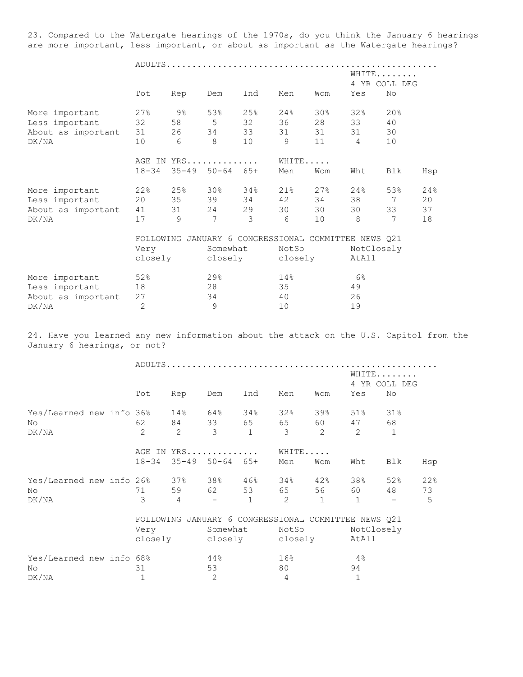23. Compared to the Watergate hearings of the 1970s, do you think the January 6 hearings are more important, less important, or about as important as the Watergate hearings?

|                    |                |      |                            |     |                                                      |         |             | WHITE         |     |
|--------------------|----------------|------|----------------------------|-----|------------------------------------------------------|---------|-------------|---------------|-----|
|                    |                |      |                            |     |                                                      |         |             | 4 YR COLL DEG |     |
|                    | Tot            | Rep  | Dem                        | Ind | Men                                                  | Wom     | Yes         | No            |     |
| More important     | 27%            | 9%   | 53%                        | 25% | 24%                                                  | 30%     | 32%         | 20%           |     |
| Less important     | 32             | 58   | 5                          | 32  | 36                                                   | 28      | 33          | 40            |     |
| About as important | 31             | 26   | 34                         | 33  | 31                                                   | 31      | 31          | 30            |     |
| DK/NA              | 10             | 6    | 8                          | 10  | 9                                                    | 11      | 4           | 10            |     |
|                    | AGE IN YRS     |      | WHITE                      |     |                                                      |         |             |               |     |
|                    | $18 - 34$      |      | $35 - 49$ $50 - 64$ $65 +$ |     | Men                                                  | Wom     | Wht         | Blk           | Hsp |
| More important     | 22%            | 25%  | 30%                        | 34% | 21%                                                  | 27%     | $24\,$ $\,$ | 53%           | 24% |
| Less important     | 20             | 35   | 39                         | 34  | 42                                                   | 34      | 38          | 7             | 20  |
| About as important | 41             | 31 \ | 24                         | 29  | 30                                                   | 30      | 30          | 33            | 37  |
| DK/NA              | 17             | 9    | 7                          | 3   | 6                                                    | 10      | 8           | 7             | 18  |
|                    |                |      |                            |     | FOLLOWING JANUARY 6 CONGRESSIONAL COMMITTEE NEWS Q21 |         |             |               |     |
|                    | Very           |      | Somewhat                   |     | NotSo                                                |         |             | NotClosely    |     |
|                    | closely        |      | closely                    |     |                                                      | closely | AtAll       |               |     |
| More important     | 52%            |      | $29$ %                     |     | 14%                                                  |         | $6\%$       |               |     |
| Less important     | 18             |      | 28                         |     | 35                                                   |         | 49          |               |     |
| About as important | 27             |      | 34                         |     | 40                                                   |         | 26          |               |     |
| DK/NA              | $\overline{2}$ |      | 9                          |     | 10                                                   |         | 19          |               |     |

24. Have you learned any new information about the attack on the U.S. Capitol from the January 6 hearings, or not?

|                          |  | Tot            | Rep            | Dem                        | Ind          | Men             | Wom            | Yes                                                  | WHITE<br>4 YR COLL DEG<br>No |     |  |
|--------------------------|--|----------------|----------------|----------------------------|--------------|-----------------|----------------|------------------------------------------------------|------------------------------|-----|--|
|                          |  |                |                |                            |              |                 |                |                                                      |                              |     |  |
| Yes/Learned new info 36% |  |                |                | $14\%$ 64%                 | 34%          | 32%             |                | 39% 51%                                              | 31%                          |     |  |
| No                       |  | 62             | 84 — 10        | 33 65                      |              | 65              | 60 — 10        | 47                                                   | 68                           |     |  |
| DK/NA                    |  | $\overline{2}$ | $\overline{2}$ | 3                          | $\mathbf{1}$ | 3               | $\overline{2}$ | 2                                                    | $\mathbf 1$                  |     |  |
|                          |  |                |                | AGE IN YRS                 |              | WHITE           |                |                                                      |                              |     |  |
|                          |  | $18 - 34$      |                | $35 - 49$ $50 - 64$ $65 +$ |              | Men             | Wom            | Wht                                                  | Blk                          | Hsp |  |
| Yes/Learned new info 26% |  |                |                | 37% 38% 46%                |              | 34%             | 42%            | 38%                                                  | 52%                          | 22% |  |
| No.                      |  | 71             |                | 59 62                      | 53           | 65 — 10         | 56             | 60 — 10                                              | 48                           | 73  |  |
| DK/NA                    |  | 3              | $\overline{4}$ |                            | $\mathbf{1}$ | 2               | $\mathbf{1}$   | 1                                                    |                              | 5   |  |
|                          |  |                |                |                            |              |                 |                | FOLLOWING JANUARY 6 CONGRESSIONAL COMMITTEE NEWS Q21 |                              |     |  |
|                          |  | Very           |                | Somewhat                   |              | NotSo           |                | NotClosely                                           |                              |     |  |
|                          |  | closely        |                |                            |              | closely closely |                | AtAll                                                |                              |     |  |
| Yes/Learned new info 68% |  |                |                | 44%                        |              | 16 <sup>°</sup> |                | 4%                                                   |                              |     |  |
| No                       |  | 31             |                | 53                         |              | 80              |                | 94                                                   |                              |     |  |
| DK/NA                    |  | 1              |                | 2                          |              | 4               |                | $\mathbf 1$                                          |                              |     |  |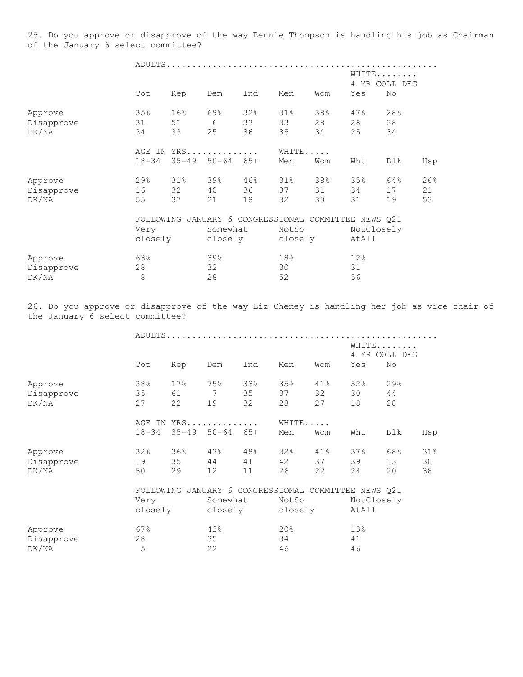25. Do you approve or disapprove of the way Bennie Thompson is handling his job as Chairman of the January 6 select committee?

|            | Tot       | Rep | Ind<br>Men<br>Wom<br>Dem                   |      |         |     | WHITE<br>4 YR COLL DEG<br>No<br>Yes |     |     |  |
|------------|-----------|-----|--------------------------------------------|------|---------|-----|-------------------------------------|-----|-----|--|
|            |           |     |                                            |      |         |     |                                     |     |     |  |
| Approve    | 35%       | 16% | 69%                                        | 32%  | 31%     | 38% | 47%                                 | 28% |     |  |
| Disapprove | 31        | 51  | 6                                          | 33   | 33      | 28  | 28                                  | 38  |     |  |
| DK/NA      | 34        | 33  | 25                                         | 36   | 35      | 34  | 25                                  | 34  |     |  |
|            |           |     | AGE IN YRS                                 |      | WHITE   |     |                                     |     |     |  |
|            | $18 - 34$ |     | $35 - 49$ $50 - 64$ $65 +$                 |      | Men     | Wom | Wht                                 | Blk | Hsp |  |
| Approve    | 29%       | 31% | 39%                                        | 46%  | 31%     | 38% | 35%                                 | 64% | 26% |  |
| Disapprove | 16        | 32  | 40                                         | 36 — | 37      | 31  | 34                                  | 17  | 21  |  |
| DK/NA      | 55        | 37  | 21                                         | 18   | 32      | 30  | 31                                  | 19  | 53  |  |
|            | FOLLOWING |     | JANUARY 6 CONGRESSIONAL COMMITTEE NEWS Q21 |      |         |     |                                     |     |     |  |
|            | Very      |     | Somewhat                                   |      | NotSo   |     | NotClosely                          |     |     |  |
|            | closely   |     | closely                                    |      | closely |     | AtAll                               |     |     |  |
| Approve    | 63%       |     | 39%                                        |      | 18%     |     | 12%                                 |     |     |  |
| Disapprove | 28        |     | 32                                         |      | 30      |     | 31                                  |     |     |  |
| DK/NA      | 8         |     | 28                                         |      | 52      |     | 56                                  |     |     |  |

26. Do you approve or disapprove of the way Liz Cheney is handling her job as vice chair of the January 6 select committee?

|            |           |                 |                                            |     |         |     | WHITE<br>4 YR COLL DEG |     |     |  |
|------------|-----------|-----------------|--------------------------------------------|-----|---------|-----|------------------------|-----|-----|--|
|            | Tot       | Rep             | Dem                                        | Ind | Men     | Wom | Yes                    | No  |     |  |
| Approve    | 38%       | 17 <sup>°</sup> | 75%                                        | 33% | 35%     | 41% | 52%                    | 29% |     |  |
| Disapprove | 35        | 61              | 7                                          | 35  | 37      | 32  | 30                     | 44  |     |  |
| DK/NA      | 27        | 22              | 19                                         | 32  | 28      | 27  | 18                     | 28  |     |  |
|            |           |                 | AGE IN YRS                                 |     | WHITE   |     |                        |     |     |  |
|            | $18 - 34$ | $35 - 49$       | $50 - 64$ $65 +$                           |     | Men     | Wom | Wht                    | Blk | Hsp |  |
| Approve    | 32%       | 36%             | 43%                                        | 48% | 32%     | 41% | 37%                    | 68% | 31% |  |
| Disapprove | 19        | 35              | 44                                         | 41  | 42      | 37  | 39                     | 13  | 30  |  |
| DK/NA      | 50        | 29              | 12                                         | 11  | 26      | 22  | 24                     | 20  | 38  |  |
|            | FOLLOWING |                 | JANUARY 6 CONGRESSIONAL COMMITTEE NEWS Q21 |     |         |     |                        |     |     |  |
|            | Very      |                 | Somewhat                                   |     | NotSo   |     | NotClosely             |     |     |  |
|            | closely   |                 | closely                                    |     | closely |     | AtAll                  |     |     |  |
| Approve    | 67%       |                 | 43%                                        |     | 20%     |     | 13%                    |     |     |  |
| Disapprove | 28        |                 | 35                                         |     | 34      |     | 41                     |     |     |  |
| DK/NA      | 5         |                 | 22                                         |     | 46      |     | 46                     |     |     |  |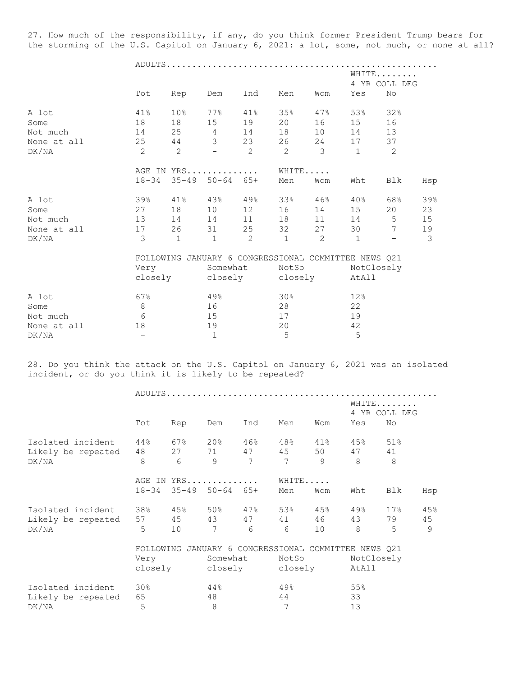27. How much of the responsibility, if any, do you think former President Trump bears for the storming of the U.S. Capitol on January 6, 2021: a lot, some, not much, or none at all?

ADULTS.....................................................

|             |                |                                                      |                            |                |                |               | WHITE<br>4 YR COLL DEG |                          |     |
|-------------|----------------|------------------------------------------------------|----------------------------|----------------|----------------|---------------|------------------------|--------------------------|-----|
|             | Tot            | Rep                                                  | Dem                        | Ind            | Men            | Wom           | Yes                    | No                       |     |
| A lot       | 41%            | 10 <sub>8</sub>                                      | 77%                        | 41%            | 35%            | $47\%$        | 53%                    | 32%                      |     |
| Some        | 18             | 18                                                   | 15                         | 19             | 20             | 16            | 15                     | 16                       |     |
| Not much    | 14             | 25                                                   | $4\overline{4}$            | 14             | 18             | 10            | 14                     | 13                       |     |
| None at all | 25             | 44                                                   | 3 <sup>7</sup>             | 23             | 26             | 24            | 17                     | 37                       |     |
| DK/NA       | $\overline{2}$ | $\overline{2}$                                       | $-$                        | $\overline{2}$ | 2              | 3             | $\mathbf{1}$           | 2                        |     |
|             |                | AGE IN YRS                                           |                            |                | WHITE          |               |                        |                          |     |
|             | $18 - 34$      |                                                      | $35 - 49$ $50 - 64$ $65 +$ |                | Men            | Wom           | Wht                    | Blk                      | Hsp |
| A lot       | 39%            |                                                      | $41\%$ $43\%$              | 49%            | 33%            | 46%           | 40%                    | 68%                      | 39% |
| Some        | 27             | 18                                                   | 10                         | 12             | 16             | 14            | 15                     | 20                       | 23  |
| Not much    | 13             | 14                                                   | 14                         | 11             | 18             | 11            | 14                     | 5                        | 15  |
| None at all | 17             | 26                                                   | 31                         | 25             | 32             | 27            | 30                     | $7\phantom{.0}$          | 19  |
| DK/NA       | 3              | $\mathbf{1}$                                         | $\mathbf{1}$               | $\mathcal{L}$  | $\overline{1}$ | $\mathcal{L}$ | $\mathbf{1}$           | $\overline{\phantom{m}}$ | 3   |
|             |                | FOLLOWING JANUARY 6 CONGRESSIONAL COMMITTEE NEWS Q21 |                            |                |                |               |                        |                          |     |
|             | Very           | Somewhat                                             |                            |                |                | NotSo         |                        | NotClosely               |     |
|             |                | closely closely                                      |                            |                |                | closely       | AtAll                  |                          |     |
| A lot       | 67%            |                                                      | 49%                        |                | 30%            |               | 12%                    |                          |     |
| Some        | 8              |                                                      | 16                         |                | 28             |               | 22                     |                          |     |
| Not much    | 6              |                                                      | 15                         |                | 17             |               | 19                     |                          |     |
| None at all | 18             |                                                      | 19                         |                | 20             |               | 42                     |                          |     |
| DK/NA       |                |                                                      | $\mathbf 1$                |                | 5              |               | 5                      |                          |     |

28. Do you think the attack on the U.S. Capitol on January 6, 2021 was an isolated incident, or do you think it is likely to be repeated?

|                    |                                                         |     |                             |                 |       |                 |            | WHITE<br>4 YR COLL DEG |               |  |
|--------------------|---------------------------------------------------------|-----|-----------------------------|-----------------|-------|-----------------|------------|------------------------|---------------|--|
|                    | Tot                                                     | Rep | Dem                         | Ind             | Men   | Wom             | Yes        | No                     |               |  |
| Isolated incident  | $44\,$                                                  | 67% | $20\%$                      | $46\%$          | 48%   | $41\%$          | $45\%$     | 51%                    |               |  |
| Likely be repeated | 48                                                      | 27  | 71 — 200                    | 47              | 45    | 50              | 47         | 41                     |               |  |
| DK/NA              | 8                                                       | 6   | 9                           | $7\phantom{.0}$ | 7     | 9               | 8          | 8                      |               |  |
|                    |                                                         |     | AGE IN YRS                  |                 | WHITE |                 |            |                        |               |  |
|                    | $18 - 34$                                               |     | $35 - 49$ $50 - 64$ $65 +$  |                 | Men   | Wom             | Wht        | Blk                    | Hsp           |  |
| Isolated incident  |                                                         |     | $38\%$ $45\%$ $50\%$ $47\%$ |                 | 53%   | 45%             | 49%        | 17%                    | 45%           |  |
| Likely be repeated | 57                                                      | 45  | 43                          | 47              | 41 —  | 46              | 43         | 79                     | 45            |  |
| DK/NA              | 5                                                       | 10  | 7                           | 6               | 6     | 10 <sup>°</sup> | 8          | 5                      | $\mathcal{Q}$ |  |
|                    | JANUARY 6 CONGRESSIONAL COMMITTEE NEWS 021<br>FOLLOWING |     |                             |                 |       |                 |            |                        |               |  |
|                    | Very                                                    |     | Somewhat                    |                 | NotSo |                 | NotClosely |                        |               |  |
|                    | closely                                                 |     | closely closely             |                 |       |                 | AtAll      |                        |               |  |
| Isolated incident  | $30\%$                                                  |     | 44%                         |                 | 49.8  |                 | 55%        |                        |               |  |
| Likely be repeated | 65                                                      |     | 48                          |                 | 44    |                 | 33         |                        |               |  |
| DK/NA              | 5                                                       |     | 8                           |                 | 7     |                 | 13         |                        |               |  |